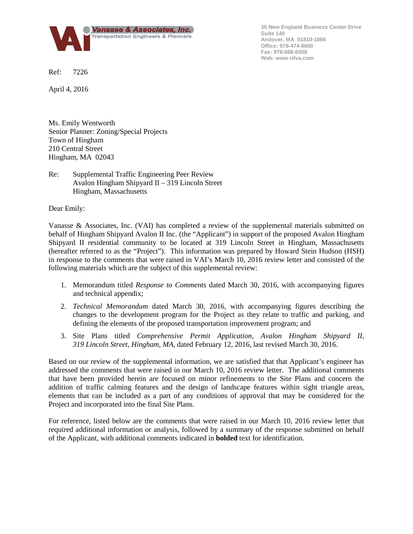

**35 New England Business Center Drive Suite 140 Andover, MA 01810-1066 Office: 978-474-8800 Fax: 978-688-6508 Web: www.rdva.com**

Ref: 7226

April 4, 2016

Ms. Emily Wentworth Senior Planner: Zoning/Special Projects Town of Hingham 210 Central Street Hingham, MA 02043

# Re: Supplemental Traffic Engineering Peer Review Avalon Hingham Shipyard II – 319 Lincoln Street Hingham, Massachusetts

Dear Emily:

Vanasse & Associates, Inc. (VAI) has completed a review of the supplemental materials submitted on behalf of Hingham Shipyard Avalon II Inc. (the "Applicant") in support of the proposed Avalon Hingham Shipyard II residential community to be located at 319 Lincoln Street in Hingham, Massachusetts (hereafter referred to as the "Project"). This information was prepared by Howard Stein Hudson (HSH) in response to the comments that were raised in VAI's March 10, 2016 review letter and consisted of the following materials which are the subject of this supplemental review:

- 1. Memorandum titled *Response to Comments* dated March 30, 2016, with accompanying figures and technical appendix;
- 2. *Technical Memorandum* dated March 30, 2016, with accompanying figures describing the changes to the development program for the Project as they relate to traffic and parking, and defining the elements of the proposed transportation improvement program; and
- 3. Site Plans titled *Comprehensive Permit Application, Avalon Hingham Shipyard II, 319 Lincoln Street, Hingham, MA*, dated February 12, 2016, last revised March 30, 2016.

Based on our review of the supplemental information, we are satisfied that that Applicant's engineer has addressed the comments that were raised in our March 10, 2016 review letter. The additional comments that have been provided herein are focused on minor refinements to the Site Plans and concern the addition of traffic calming features and the design of landscape features within sight triangle areas, elements that can be included as a part of any conditions of approval that may be considered for the Project and incorporated into the final Site Plans.

For reference, listed below are the comments that were raised in our March 10, 2016 review letter that required additional information or analysis, followed by a summary of the response submitted on behalf of the Applicant, with additional comments indicated in **bolded** text for identification.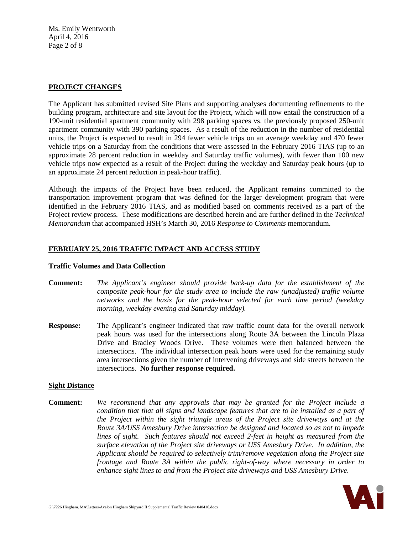Ms. Emily Wentworth April 4, 2016 Page 2 of 8

## **PROJECT CHANGES**

The Applicant has submitted revised Site Plans and supporting analyses documenting refinements to the building program, architecture and site layout for the Project, which will now entail the construction of a 190-unit residential apartment community with 298 parking spaces vs. the previously proposed 250-unit apartment community with 390 parking spaces. As a result of the reduction in the number of residential units, the Project is expected to result in 294 fewer vehicle trips on an average weekday and 470 fewer vehicle trips on a Saturday from the conditions that were assessed in the February 2016 TIAS (up to an approximate 28 percent reduction in weekday and Saturday traffic volumes), with fewer than 100 new vehicle trips now expected as a result of the Project during the weekday and Saturday peak hours (up to an approximate 24 percent reduction in peak-hour traffic).

Although the impacts of the Project have been reduced, the Applicant remains committed to the transportation improvement program that was defined for the larger development program that were identified in the February 2016 TIAS, and as modified based on comments received as a part of the Project review process. These modifications are described herein and are further defined in the *Technical Memorandum* that accompanied HSH's March 30, 2016 *Response to Comments* memorandum.

## **FEBRUARY 25, 2016 TRAFFIC IMPACT AND ACCESS STUDY**

#### **Traffic Volumes and Data Collection**

- **Comment:** *The Applicant's engineer should provide back-up data for the establishment of the composite peak-hour for the study area to include the raw (unadjusted) traffic volume networks and the basis for the peak-hour selected for each time period (weekday morning, weekday evening and Saturday midday).*
- **Response:** The Applicant's engineer indicated that raw traffic count data for the overall network peak hours was used for the intersections along Route 3A between the Lincoln Plaza Drive and Bradley Woods Drive. These volumes were then balanced between the intersections. The individual intersection peak hours were used for the remaining study area intersections given the number of intervening driveways and side streets between the intersections. **No further response required.**

#### **Sight Distance**

**Comment:** *We recommend that any approvals that may be granted for the Project include a condition that that all signs and landscape features that are to be installed as a part of the Project within the sight triangle areas of the Project site driveways and at the Route 3A/USS Amesbury Drive intersection be designed and located so as not to impede lines of sight. Such features should not exceed 2-feet in height as measured from the surface elevation of the Project site driveways or USS Amesbury Drive. In addition, the Applicant should be required to selectively trim/remove vegetation along the Project site frontage and Route 3A within the public right-of-way where necessary in order to enhance sight lines to and from the Project site driveways and USS Amesbury Drive.*

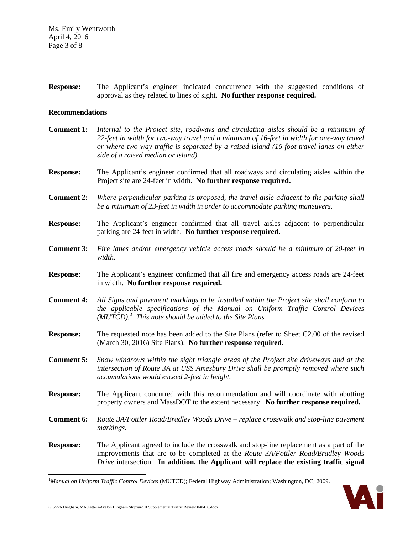**Response:** The Applicant's engineer indicated concurrence with the suggested conditions of approval as they related to lines of sight. **No further response required.**

#### **Recommendations**

- **Comment 1:** *Internal to the Project site, roadways and circulating aisles should be a minimum of 22-feet in width for two-way travel and a minimum of 16-feet in width for one-way travel or where two-way traffic is separated by a raised island (16-foot travel lanes on either side of a raised median or island).*
- **Response:** The Applicant's engineer confirmed that all roadways and circulating aisles within the Project site are 24-feet in width. **No further response required.**
- **Comment 2:** *Where perpendicular parking is proposed, the travel aisle adjacent to the parking shall be a minimum of 23-feet in width in order to accommodate parking maneuvers.*
- **Response:** The Applicant's engineer confirmed that all travel aisles adjacent to perpendicular parking are 24-feet in width. **No further response required.**
- **Comment 3:** *Fire lanes and/or emergency vehicle access roads should be a minimum of 20-feet in width.*
- **Response:** The Applicant's engineer confirmed that all fire and emergency access roads are 24-feet in width. **No further response required.**
- **Comment 4:** *All Signs and pavement markings to be installed within the Project site shall conform to the applicable specifications of the Manual on Uniform Traffic Control Devices (MUTCD).[1](#page-2-0) This note should be added to the Site Plans.*
- **Response:** The requested note has been added to the Site Plans (refer to Sheet C2.00 of the revised (March 30, 2016) Site Plans). **No further response required.**
- **Comment 5:** *Snow windrows within the sight triangle areas of the Project site driveways and at the intersection of Route 3A at USS Amesbury Drive shall be promptly removed where such accumulations would exceed 2-feet in height.*
- **Response:** The Applicant concurred with this recommendation and will coordinate with abutting property owners and MassDOT to the extent necessary. **No further response required.**
- **Comment 6:** *Route 3A/Fottler Road/Bradley Woods Drive – replace crosswalk and stop-line pavement markings.*
- **Response:** The Applicant agreed to include the crosswalk and stop-line replacement as a part of the improvements that are to be completed at the *Route 3A/Fottler Road/Bradley Woods Drive* intersection. **In addition, the Applicant will replace the existing traffic signal**

<span id="page-2-0"></span> $\frac{1}{1}$ *Manual on Uniform Traffic Control Devices* (MUTCD); Federal Highway Administration; Washington, DC; 2009.

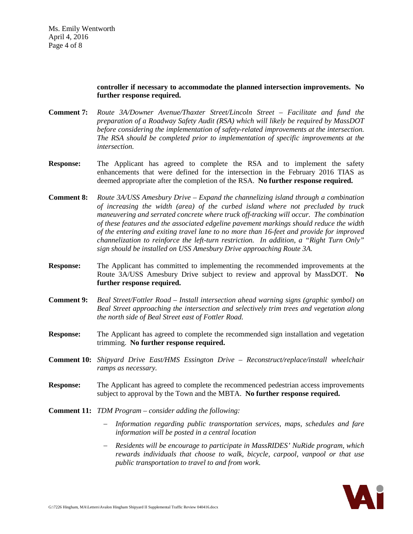## **controller if necessary to accommodate the planned intersection improvements. No further response required.**

- **Comment 7:** *Route 3A/Downer Avenue/Thaxter Street/Lincoln Street – Facilitate and fund the preparation of a Roadway Safety Audit (RSA) which will likely be required by MassDOT before considering the implementation of safety-related improvements at the intersection. The RSA should be completed prior to implementation of specific improvements at the intersection.*
- **Response:** The Applicant has agreed to complete the RSA and to implement the safety enhancements that were defined for the intersection in the February 2016 TIAS as deemed appropriate after the completion of the RSA. **No further response required.**
- **Comment 8:** *Route 3A/USS Amesbury Drive – Expand the channelizing island through a combination of increasing the width (area) of the curbed island where not precluded by truck maneuvering and serrated concrete where truck off-tracking will occur. The combination of these features and the associated edgeline pavement markings should reduce the width of the entering and exiting travel lane to no more than 16-feet and provide for improved channelization to reinforce the left-turn restriction. In addition, a "Right Turn Only" sign should be installed on USS Amesbury Drive approaching Route 3A.*
- **Response:** The Applicant has committed to implementing the recommended improvements at the Route 3A/USS Amesbury Drive subject to review and approval by MassDOT. **No further response required.**
- **Comment 9:** *Beal Street/Fottler Road – Install intersection ahead warning signs (graphic symbol) on Beal Street approaching the intersection and selectively trim trees and vegetation along the north side of Beal Street east of Fottler Road.*
- **Response:** The Applicant has agreed to complete the recommended sign installation and vegetation trimming. **No further response required.**
- **Comment 10:** *Shipyard Drive East/HMS Essington Drive – Reconstruct/replace/install wheelchair ramps as necessary.*
- **Response:** The Applicant has agreed to complete the recommenced pedestrian access improvements subject to approval by the Town and the MBTA. **No further response required.**
- **Comment 11:** *TDM Program – consider adding the following:*
	- − *Information regarding public transportation services, maps, schedules and fare information will be posted in a central location*
	- − *Residents will be encourage to participate in MassRIDES' NuRide program, which rewards individuals that choose to walk, bicycle, carpool, vanpool or that use public transportation to travel to and from work.*

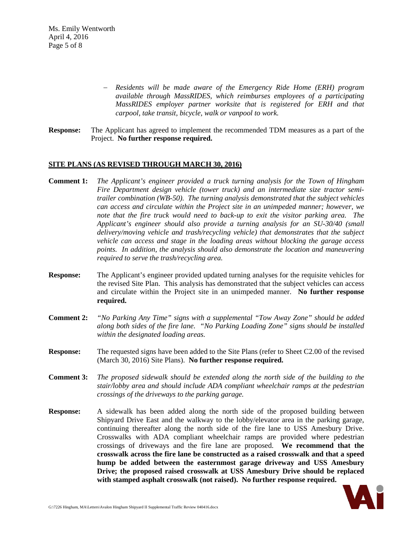Ms. Emily Wentworth April 4, 2016 Page 5 of 8

- − *Residents will be made aware of the Emergency Ride Home (ERH) program available through MassRIDES, which reimburses employees of a participating MassRIDES employer partner worksite that is registered for ERH and that carpool, take transit, bicycle, walk or vanpool to work.*
- **Response:** The Applicant has agreed to implement the recommended TDM measures as a part of the Project. **No further response required.**

## **SITE PLANS (AS REVISED THROUGH MARCH 30, 2016)**

- **Comment 1:** *The Applicant's engineer provided a truck turning analysis for the Town of Hingham Fire Department design vehicle (tower truck) and an intermediate size tractor semitrailer combination (WB-50). The turning analysis demonstrated that the subject vehicles can access and circulate within the Project site in an unimpeded manner; however, we note that the fire truck would need to back-up to exit the visitor parking area. The Applicant's engineer should also provide a turning analysis for an SU-30/40 (small delivery/moving vehicle and trash/recycling vehicle) that demonstrates that the subject vehicle can access and stage in the loading areas without blocking the garage access points. In addition, the analysis should also demonstrate the location and maneuvering required to serve the trash/recycling area.*
- **Response:** The Applicant's engineer provided updated turning analyses for the requisite vehicles for the revised Site Plan. This analysis has demonstrated that the subject vehicles can access and circulate within the Project site in an unimpeded manner. **No further response required.**
- **Comment 2:** *"No Parking Any Time" signs with a supplemental "Tow Away Zone" should be added along both sides of the fire lane. "No Parking Loading Zone" signs should be installed within the designated loading areas.*
- **Response:** The requested signs have been added to the Site Plans (refer to Sheet C2.00 of the revised (March 30, 2016) Site Plans). **No further response required.**
- **Comment 3:** *The proposed sidewalk should be extended along the north side of the building to the stair/lobby area and should include ADA compliant wheelchair ramps at the pedestrian crossings of the driveways to the parking garage.*
- **Response:** A sidewalk has been added along the north side of the proposed building between Shipyard Drive East and the walkway to the lobby/elevator area in the parking garage, continuing thereafter along the north side of the fire lane to USS Amesbury Drive. Crosswalks with ADA compliant wheelchair ramps are provided where pedestrian crossings of driveways and the fire lane are proposed. **We recommend that the crosswalk across the fire lane be constructed as a raised crosswalk and that a speed hump be added between the easternmost garage driveway and USS Amesbury Drive; the proposed raised crosswalk at USS Amesbury Drive should be replaced with stamped asphalt crosswalk (not raised). No further response required.**

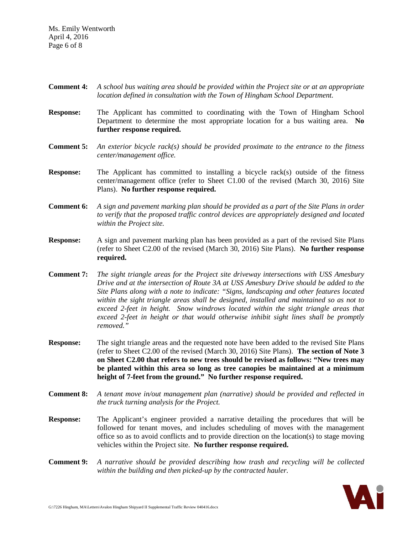Ms. Emily Wentworth April 4, 2016 Page 6 of 8

- **Comment 4:** *A school bus waiting area should be provided within the Project site or at an appropriate location defined in consultation with the Town of Hingham School Department.*
- **Response:** The Applicant has committed to coordinating with the Town of Hingham School Department to determine the most appropriate location for a bus waiting area. **No further response required.**
- **Comment 5:** *An exterior bicycle rack(s) should be provided proximate to the entrance to the fitness center/management office.*
- **Response:** The Applicant has committed to installing a bicycle rack(s) outside of the fitness center/management office (refer to Sheet C1.00 of the revised (March 30, 2016) Site Plans). **No further response required.**
- **Comment 6:** *A sign and pavement marking plan should be provided as a part of the Site Plans in order to verify that the proposed traffic control devices are appropriately designed and located within the Project site.*
- **Response:** A sign and pavement marking plan has been provided as a part of the revised Site Plans (refer to Sheet C2.00 of the revised (March 30, 2016) Site Plans). **No further response required.**
- **Comment 7:** *The sight triangle areas for the Project site driveway intersections with USS Amesbury Drive and at the intersection of Route 3A at USS Amesbury Drive should be added to the Site Plans along with a note to indicate: "Signs, landscaping and other features located within the sight triangle areas shall be designed, installed and maintained so as not to exceed 2-feet in height. Snow windrows located within the sight triangle areas that exceed 2-feet in height or that would otherwise inhibit sight lines shall be promptly removed."*
- **Response:** The sight triangle areas and the requested note have been added to the revised Site Plans (refer to Sheet C2.00 of the revised (March 30, 2016) Site Plans). **The section of Note 3 on Sheet C2.00 that refers to new trees should be revised as follows: "New trees may be planted within this area so long as tree canopies be maintained at a minimum height of 7-feet from the ground." No further response required.**
- **Comment 8:** *A tenant move in/out management plan (narrative) should be provided and reflected in the truck turning analysis for the Project.*
- **Response:** The Applicant's engineer provided a narrative detailing the procedures that will be followed for tenant moves, and includes scheduling of moves with the management office so as to avoid conflicts and to provide direction on the location(s) to stage moving vehicles within the Project site. **No further response required.**
- **Comment 9:** *A narrative should be provided describing how trash and recycling will be collected within the building and then picked-up by the contracted hauler.*

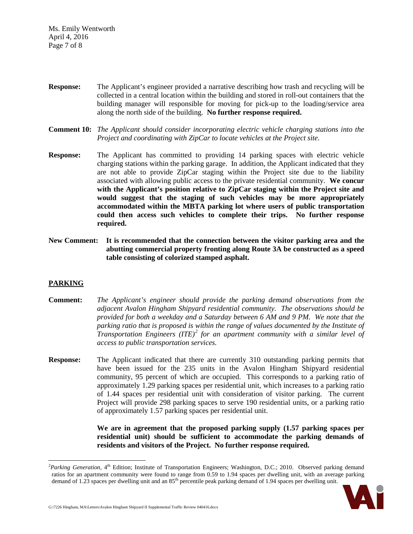Ms. Emily Wentworth April 4, 2016 Page 7 of 8

- **Response:** The Applicant's engineer provided a narrative describing how trash and recycling will be collected in a central location within the building and stored in roll-out containers that the building manager will responsible for moving for pick-up to the loading/service area along the north side of the building. **No further response required.**
- **Comment 10:** *The Applicant should consider incorporating electric vehicle charging stations into the Project and coordinating with ZipCar to locate vehicles at the Project site.*
- **Response:** The Applicant has committed to providing 14 parking spaces with electric vehicle charging stations within the parking garage. In addition, the Applicant indicated that they are not able to provide ZipCar staging within the Project site due to the liability associated with allowing public access to the private residential community. **We concur with the Applicant's position relative to ZipCar staging within the Project site and would suggest that the staging of such vehicles may be more appropriately accommodated within the MBTA parking lot where users of public transportation could then access such vehicles to complete their trips. No further response required.**
- **New Comment: It is recommended that the connection between the visitor parking area and the abutting commercial property fronting along Route 3A be constructed as a speed table consisting of colorized stamped asphalt.**

# **PARKING**

- **Comment:** *The Applicant's engineer should provide the parking demand observations from the adjacent Avalon Hingham Shipyard residential community. The observations should be provided for both a weekday and a Saturday between 6 AM and 9 PM. We note that the parking ratio that is proposed is within the range of values documented by the Institute of Transportation Engineers (ITE)[2](#page-6-0) for an apartment community with a similar level of access to public transportation services.*
- **Response:** The Applicant indicated that there are currently 310 outstanding parking permits that have been issued for the 235 units in the Avalon Hingham Shipyard residential community, 95 percent of which are occupied. This corresponds to a parking ratio of approximately 1.29 parking spaces per residential unit, which increases to a parking ratio of 1.44 spaces per residential unit with consideration of visitor parking. The current Project will provide 298 parking spaces to serve 190 residential units, or a parking ratio of approximately 1.57 parking spaces per residential unit.

**We are in agreement that the proposed parking supply (1.57 parking spaces per residential unit) should be sufficient to accommodate the parking demands of residents and visitors of the Project. No further response required.**

<span id="page-6-0"></span> $\frac{1}{2}$ <sup>2</sup>Parking Generation, 4<sup>th</sup> Edition; Institute of Transportation Engineers; Washington, D.C.; 2010. Observed parking demand ratios for an apartment community were found to range from 0.59 to 1.94 spaces per dwelling unit, with an average parking demand of 1.23 spaces per dwelling unit and an 85<sup>th</sup> percentile peak parking demand of 1.94 spaces per dwelling unit.